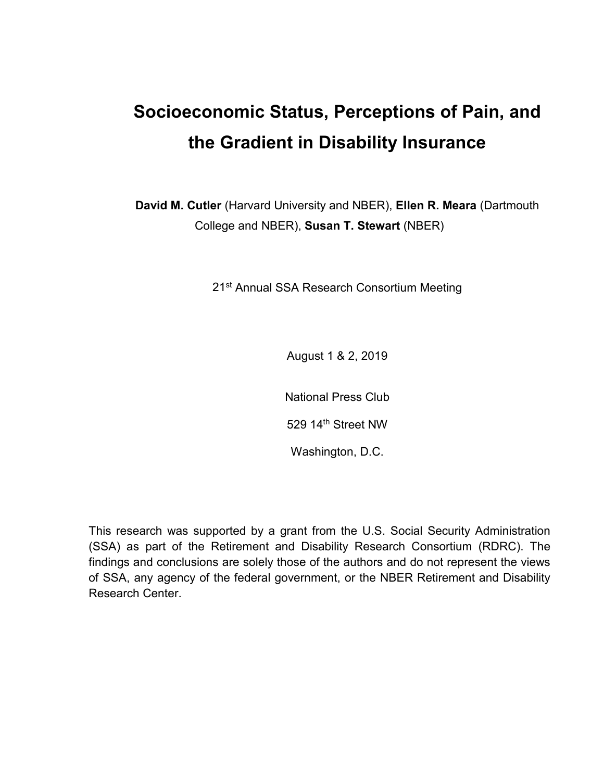## **Socioeconomic Status, Perceptions of Pain, and the Gradient in Disability Insurance**

 College and NBER), **Susan T. Stewart** (NBER) **David M. Cutler** (Harvard University and NBER), **Ellen R. Meara** (Dartmouth

21<sup>st</sup> Annual SSA Research Consortium Meeting

August 1 & 2, 2019

National Press Club

529 14<sup>th</sup> Street NW

Washington, D.C.

This research was supported by a grant from the U.S. Social Security Administration (SSA) as part of the Retirement and Disability Research Consortium (RDRC). The findings and conclusions are solely those of the authors and do not represent the views of SSA, any agency of the federal government, or the NBER Retirement and Disability Research Center.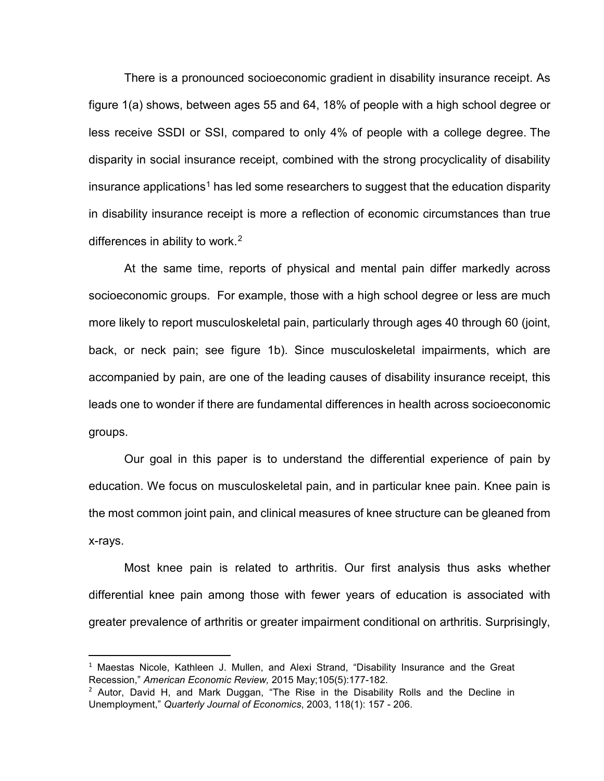There is a pronounced socioeconomic gradient in disability insurance receipt. As figure 1(a) shows, between ages 55 and 64, 18% of people with a high school degree or differences in ability to work.<sup>2</sup> less receive SSDI or SSI, compared to only 4% of people with a college degree. The disparity in social insurance receipt, combined with the strong procyclicality of disability insurance applications<sup>1</sup> has led some researchers to suggest that the education disparity in disability insurance receipt is more a reflection of economic circumstances than true

 socioeconomic groups. For example, those with a high school degree or less are much back, or neck pain; see figure 1b). Since musculoskeletal impairments, which are accompanied by pain, are one of the leading causes of disability insurance receipt, this groups. At the same time, reports of physical and mental pain differ markedly across more likely to report musculoskeletal pain, particularly through ages 40 through 60 (joint, leads one to wonder if there are fundamental differences in health across socioeconomic

 education. We focus on musculoskeletal pain, and in particular knee pain. Knee pain is Our goal in this paper is to understand the differential experience of pain by the most common joint pain, and clinical measures of knee structure can be gleaned from x-rays.

 differential knee pain among those with fewer years of education is associated with Most knee pain is related to arthritis. Our first analysis thus asks whether greater prevalence of arthritis or greater impairment conditional on arthritis. Surprisingly,

l

<span id="page-1-0"></span> $1$  Maestas Nicole, Kathleen J. Mullen, and Alexi Strand, "Disability Insurance and the Great Recession," *American Economic Review,* 2015 May;105(5):177-182.

<span id="page-1-1"></span> $2$  Autor, David H, and Mark Duggan, "The Rise in the Disability Rolls and the Decline in Unemployment," *Quarterly Journal of Economics*, 2003, 118(1): 157 - 206.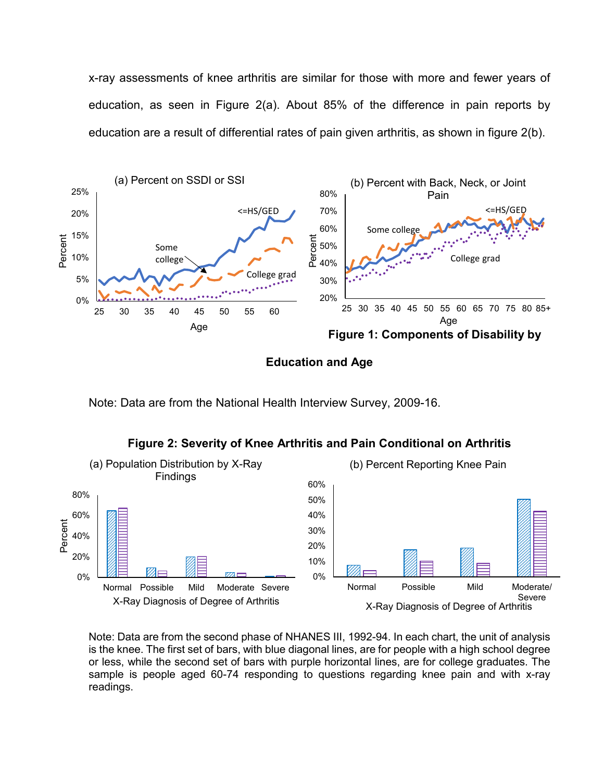education are a result of differential rates of pain given arthritis, as shown in figure 2(b). x-ray assessments of knee arthritis are similar for those with more and fewer years of education, as seen in Figure 2(a). About 85% of the difference in pain reports by



**Education and Age** 

Note: Data are from the National Health Interview Survey, 2009-16.





 is the knee. The first set of bars, with blue diagonal lines, are for people with a high school degree or less, while the second set of bars with purple horizontal lines, are for college graduates. The Note: Data are from the second phase of NHANES III, 1992-94. In each chart, the unit of analysis sample is people aged 60-74 responding to questions regarding knee pain and with x-ray readings.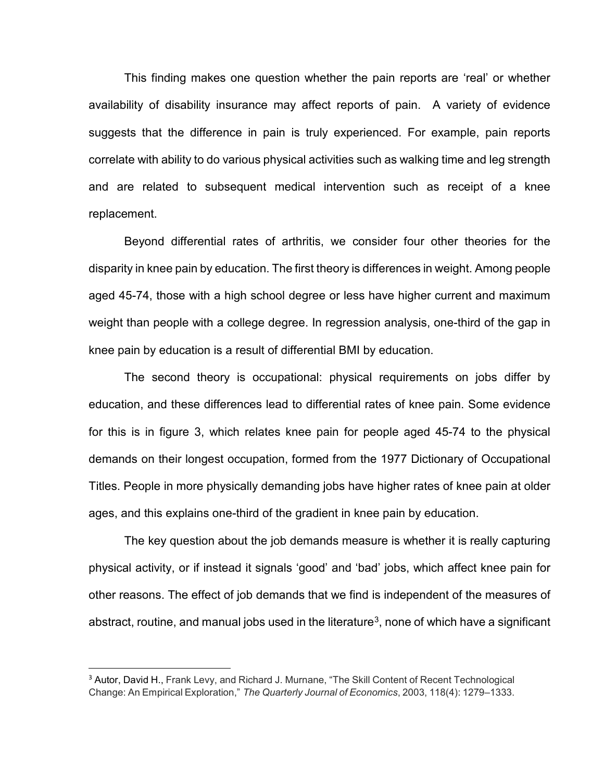availability of disability insurance may affect reports of pain. A variety of evidence This finding makes one question whether the pain reports are 'real' or whether suggests that the difference in pain is truly experienced. For example, pain reports correlate with ability to do various physical activities such as walking time and leg strength and are related to subsequent medical intervention such as receipt of a knee replacement.

 Beyond differential rates of arthritis, we consider four other theories for the disparity in knee pain by education. The first theory is differences in weight. Among people aged 45-74, those with a high school degree or less have higher current and maximum weight than people with a college degree. In regression analysis, one-third of the gap in knee pain by education is a result of differential BMI by education.

 Titles. People in more physically demanding jobs have higher rates of knee pain at older The second theory is occupational: physical requirements on jobs differ by education, and these differences lead to differential rates of knee pain. Some evidence for this is in figure 3, which relates knee pain for people aged 45-74 to the physical demands on their longest occupation, formed from the 1977 Dictionary of Occupational ages, and this explains one-third of the gradient in knee pain by education.

 other reasons. The effect of job demands that we find is independent of the measures of The key question about the job demands measure is whether it is really capturing physical activity, or if instead it signals 'good' and 'bad' jobs, which affect knee pain for abstract, routine, and manual jobs used in the literature<sup>[3](#page-3-0)</sup>, none of which have a significant

 $\overline{a}$ 

<span id="page-3-0"></span><sup>&</sup>lt;sup>3</sup> Autor, David H., Frank Levy, and Richard J. Murnane, "The Skill Content of Recent Technological Change: An Empirical Exploration," *The Quarterly Journal of Economics*, 2003, 118(4): 1279–1333.